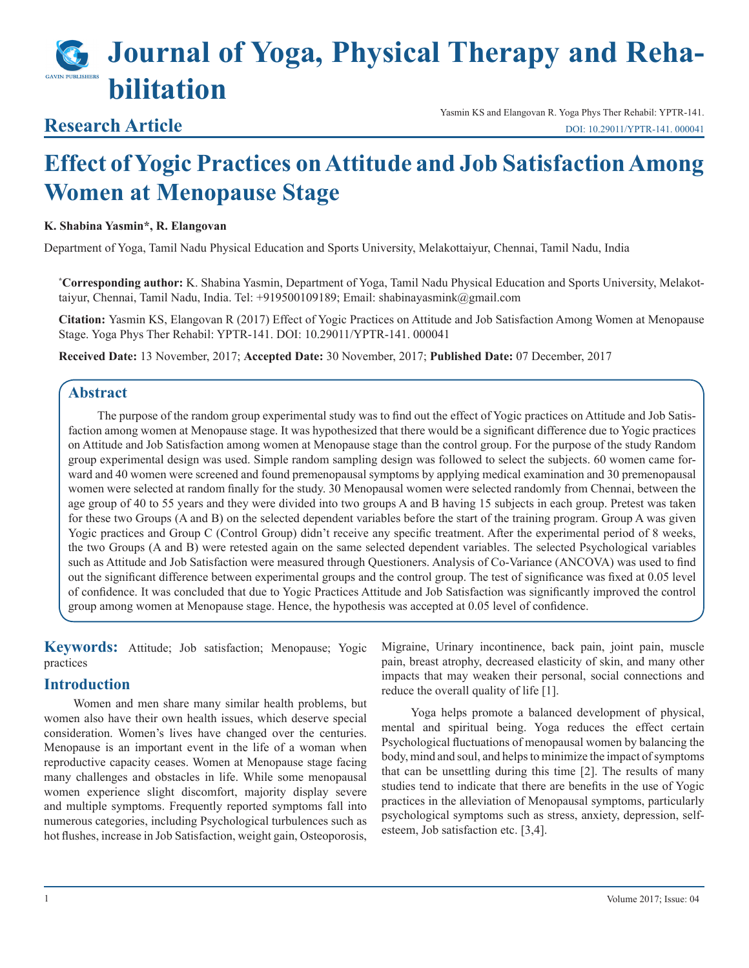# **Journal of Yoga, Physical Therapy and Rehabilitation**

# **Research Article**

Yasmin KS and Elangovan R. Yoga Phys Ther Rehabil: YPTR-141. [DOI: 10.29011/YPTR-141. 000041](http://doi.org/10.29011/YPTR-141. 000041)

# **Effect of Yogic Practices on Attitude and Job Satisfaction Among Women at Menopause Stage**

## **K. Shabina Yasmin\*, R. Elangovan**

Department of Yoga, Tamil Nadu Physical Education and Sports University, Melakottaiyur, Chennai, Tamil Nadu, India

**\* Corresponding author:** K. Shabina Yasmin, Department of Yoga, Tamil Nadu Physical Education and Sports University, Melakottaiyur, Chennai, Tamil Nadu, India. Tel: +919500109189; Email: shabinayasmink@gmail.com

**Citation:** Yasmin KS, Elangovan R (2017) Effect of Yogic Practices on Attitude and Job Satisfaction Among Women at Menopause Stage. Yoga Phys Ther Rehabil: YPTR-141. DOI: 10.29011/YPTR-141. 000041

**Received Date:** 13 November, 2017; **Accepted Date:** 30 November, 2017; **Published Date:** 07 December, 2017

# **Abstract**

The purpose of the random group experimental study was to find out the effect of Yogic practices on Attitude and Job Satisfaction among women at Menopause stage. It was hypothesized that there would be a significant difference due to Yogic practices on Attitude and Job Satisfaction among women at Menopause stage than the control group. For the purpose of the study Random group experimental design was used. Simple random sampling design was followed to select the subjects. 60 women came forward and 40 women were screened and found premenopausal symptoms by applying medical examination and 30 premenopausal women were selected at random finally for the study. 30 Menopausal women were selected randomly from Chennai, between the age group of 40 to 55 years and they were divided into two groups A and B having 15 subjects in each group. Pretest was taken for these two Groups (A and B) on the selected dependent variables before the start of the training program. Group A was given Yogic practices and Group C (Control Group) didn't receive any specific treatment. After the experimental period of 8 weeks, the two Groups (A and B) were retested again on the same selected dependent variables. The selected Psychological variables such as Attitude and Job Satisfaction were measured through Questioners. Analysis of Co-Variance (ANCOVA) was used to find out the significant difference between experimental groups and the control group. The test of significance was fixed at 0.05 level of confidence. It was concluded that due to Yogic Practices Attitude and Job Satisfaction was significantly improved the control group among women at Menopause stage. Hence, the hypothesis was accepted at 0.05 level of confidence.

**Keywords:** Attitude; Job satisfaction; Menopause; Yogic practices

# **Introduction**

Women and men share many similar health problems, but women also have their own health issues, which deserve special consideration. Women's lives have changed over the centuries. Menopause is an important event in the life of a woman when reproductive capacity ceases. Women at Menopause stage facing many challenges and obstacles in life. While some menopausal women experience slight discomfort, majority display severe and multiple symptoms. Frequently reported symptoms fall into numerous categories, including Psychological turbulences such as hot flushes, increase in Job Satisfaction, weight gain, Osteoporosis, Migraine, Urinary incontinence, back pain, joint pain, muscle pain, breast atrophy, decreased elasticity of skin, and many other impacts that may weaken their personal, social connections and reduce the overall quality of life [1].

Yoga helps promote a balanced development of physical, mental and spiritual being. Yoga reduces the effect certain Psychological fluctuations of menopausal women by balancing the body, mind and soul, and helps to minimize the impact of symptoms that can be unsettling during this time [2]. The results of many studies tend to indicate that there are benefits in the use of Yogic practices in the alleviation of Menopausal symptoms, particularly psychological symptoms such as stress, anxiety, depression, selfesteem, Job satisfaction etc. [3,4].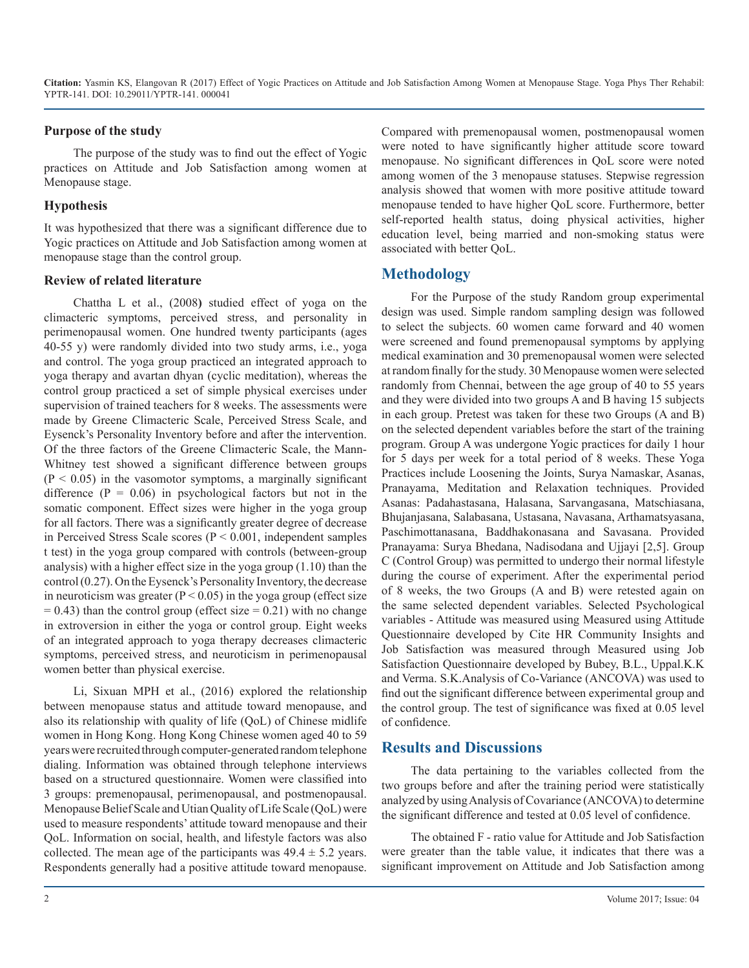**Citation:** Yasmin KS, Elangovan R (2017) Effect of Yogic Practices on Attitude and Job Satisfaction Among Women at Menopause Stage. Yoga Phys Ther Rehabil: YPTR-141. DOI: 10.29011/YPTR-141. 000041

#### **Purpose of the study**

The purpose of the study was to find out the effect of Yogic practices on Attitude and Job Satisfaction among women at Menopause stage.

#### **Hypothesis**

It was hypothesized that there was a significant difference due to Yogic practices on Attitude and Job Satisfaction among women at menopause stage than the control group.

#### **Review of related literature**

Chattha L et al., (2008**)** studied effect of yoga on the climacteric symptoms, perceived stress, and personality in perimenopausal women. One hundred twenty participants (ages 40-55 y) were randomly divided into two study arms, i.e., yoga and control. The yoga group practiced an integrated approach to yoga therapy and avartan dhyan (cyclic meditation), whereas the control group practiced a set of simple physical exercises under supervision of trained teachers for 8 weeks. The assessments were made by Greene Climacteric Scale, Perceived Stress Scale, and Eysenck's Personality Inventory before and after the intervention. Of the three factors of the Greene Climacteric Scale, the Mann-Whitney test showed a significant difference between groups  $(P < 0.05)$  in the vasomotor symptoms, a marginally significant difference  $(P = 0.06)$  in psychological factors but not in the somatic component. Effect sizes were higher in the yoga group for all factors. There was a significantly greater degree of decrease in Perceived Stress Scale scores (P < 0.001, independent samples t test) in the yoga group compared with controls (between-group analysis) with a higher effect size in the yoga group (1.10) than the control (0.27). On the Eysenck's Personality Inventory, the decrease in neuroticism was greater ( $P < 0.05$ ) in the yoga group (effect size  $= 0.43$ ) than the control group (effect size  $= 0.21$ ) with no change in extroversion in either the yoga or control group. Eight weeks of an integrated approach to yoga therapy decreases climacteric symptoms, perceived stress, and neuroticism in perimenopausal women better than physical exercise.

Li, Sixuan MPH et al., (2016) explored the relationship between menopause status and attitude toward menopause, and also its relationship with quality of life (QoL) of Chinese midlife women in Hong Kong. Hong Kong Chinese women aged 40 to 59 years were recruited through computer-generated random telephone dialing. Information was obtained through telephone interviews based on a structured questionnaire. Women were classified into 3 groups: premenopausal, perimenopausal, and postmenopausal. Menopause Belief Scale and Utian Quality of Life Scale (QoL) were used to measure respondents' attitude toward menopause and their QoL. Information on social, health, and lifestyle factors was also collected. The mean age of the participants was  $49.4 \pm 5.2$  years. Respondents generally had a positive attitude toward menopause.

Compared with premenopausal women, postmenopausal women were noted to have significantly higher attitude score toward menopause. No significant differences in QoL score were noted among women of the 3 menopause statuses. Stepwise regression analysis showed that women with more positive attitude toward menopause tended to have higher QoL score. Furthermore, better self-reported health status, doing physical activities, higher education level, being married and non-smoking status were associated with better QoL.

# **Methodology**

For the Purpose of the study Random group experimental design was used. Simple random sampling design was followed to select the subjects. 60 women came forward and 40 women were screened and found premenopausal symptoms by applying medical examination and 30 premenopausal women were selected at random finally for the study. 30 Menopause women were selected randomly from Chennai, between the age group of 40 to 55 years and they were divided into two groups A and B having 15 subjects in each group. Pretest was taken for these two Groups (A and B) on the selected dependent variables before the start of the training program. Group A was undergone Yogic practices for daily 1 hour for 5 days per week for a total period of 8 weeks. These Yoga Practices include Loosening the Joints, Surya Namaskar, Asanas, Pranayama, Meditation and Relaxation techniques. Provided Asanas: Padahastasana, Halasana, Sarvangasana, Matschiasana, Bhujanjasana, Salabasana, Ustasana, Navasana, Arthamatsyasana, Paschimottanasana, Baddhakonasana and Savasana. Provided Pranayama: Surya Bhedana, Nadisodana and Ujjayi [2,5]. Group C (Control Group) was permitted to undergo their normal lifestyle during the course of experiment. After the experimental period of 8 weeks, the two Groups (A and B) were retested again on the same selected dependent variables. Selected Psychological variables - Attitude was measured using Measured using Attitude Questionnaire developed by Cite HR Community Insights and Job Satisfaction was measured through Measured using Job Satisfaction Questionnaire developed by Bubey, B.L., Uppal.K.K and Verma. S.K.Analysis of Co-Variance (ANCOVA) was used to find out the significant difference between experimental group and the control group. The test of significance was fixed at 0.05 level of confidence.

## **Results and Discussions**

The data pertaining to the variables collected from the two groups before and after the training period were statistically analyzed by using Analysis of Covariance (ANCOVA) to determine the significant difference and tested at 0.05 level of confidence.

The obtained F - ratio value for Attitude and Job Satisfaction were greater than the table value, it indicates that there was a significant improvement on Attitude and Job Satisfaction among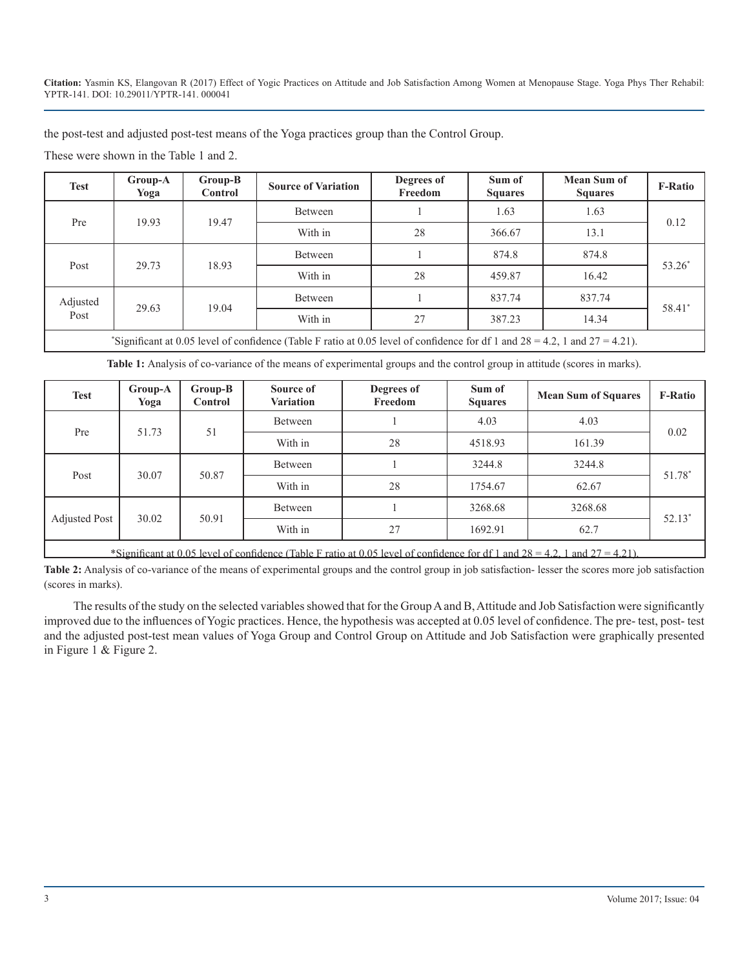**Citation:** Yasmin KS, Elangovan R (2017) Effect of Yogic Practices on Attitude and Job Satisfaction Among Women at Menopause Stage. Yoga Phys Ther Rehabil: YPTR-141. DOI: 10.29011/YPTR-141. 000041

the post-test and adjusted post-test means of the Yoga practices group than the Control Group.

These were shown in the Table 1 and 2.

| <b>Test</b>                                                                                                                        | Group-A<br>Yoga | Group-B<br>Control | <b>Source of Variation</b> | Degrees of<br>Freedom | Sum of<br><b>Squares</b> | <b>Mean Sum of</b><br><b>Squares</b> | <b>F-Ratio</b> |  |  |
|------------------------------------------------------------------------------------------------------------------------------------|-----------------|--------------------|----------------------------|-----------------------|--------------------------|--------------------------------------|----------------|--|--|
| Pre                                                                                                                                | 19.93           | 19.47              | Between                    |                       | 1.63                     | 1.63                                 | 0.12           |  |  |
|                                                                                                                                    |                 |                    | With in                    | 28                    | 366.67                   | 13.1                                 |                |  |  |
| Post                                                                                                                               | 29.73           | 18.93              | Between                    |                       | 874.8                    | 874.8                                | $53.26*$       |  |  |
|                                                                                                                                    |                 |                    | With in                    | 28                    | 459.87                   | 16.42                                |                |  |  |
| Adjusted<br>Post                                                                                                                   | 29.63           | 19.04              | Between                    |                       | 837.74                   | 837.74                               | 58.41*         |  |  |
|                                                                                                                                    |                 |                    | With in                    | 27                    | 387.23                   | 14.34                                |                |  |  |
| "Significant at 0.05 level of confidence (Table F ratio at 0.05 level of confidence for df 1 and $28 = 4.2$ , 1 and $27 = 4.21$ ). |                 |                    |                            |                       |                          |                                      |                |  |  |

**Table 1:** Analysis of co-variance of the means of experimental groups and the control group in attitude (scores in marks).

| <b>Test</b>                                                                                                                 | Group-A<br>Yoga | $Group-B$<br><b>Control</b> | Source of<br><b>Variation</b> | Degrees of<br>Freedom | Sum of<br><b>Squares</b> | <b>Mean Sum of Squares</b> | <b>F-Ratio</b> |  |  |  |
|-----------------------------------------------------------------------------------------------------------------------------|-----------------|-----------------------------|-------------------------------|-----------------------|--------------------------|----------------------------|----------------|--|--|--|
| Pre                                                                                                                         | 51.73           | 51                          | Between                       |                       | 4.03                     | 4.03                       | 0.02           |  |  |  |
|                                                                                                                             |                 |                             | With in                       | 28                    | 4518.93                  | 161.39                     |                |  |  |  |
| Post                                                                                                                        | 30.07           | 50.87                       | Between                       |                       | 3244.8                   | 3244.8                     | 51.78*         |  |  |  |
|                                                                                                                             |                 |                             | With in                       | 28                    | 1754.67                  | 62.67                      |                |  |  |  |
| <b>Adjusted Post</b>                                                                                                        | 30.02           | 50.91                       | Between                       |                       | 3268.68                  | 3268.68                    | $52.13*$       |  |  |  |
|                                                                                                                             |                 |                             | With in                       | 27                    | 1692.91                  | 62.7                       |                |  |  |  |
| *Significant at 0.05 level of confidence (Table F ratio at 0.05 level of confidence for df 1 and 28 = 4.2, 1 and 27 = 4.21) |                 |                             |                               |                       |                          |                            |                |  |  |  |

\*Significant at 0.05 level of confidence (Table F ratio at 0.05 level of confidence for df 1 and  $28 = 4.2$ , 1 and  $27 = 4.21$ ).

Table 2: Analysis of co-variance of the means of experimental groups and the control group in job satisfaction- lesser the scores more job satisfaction (scores in marks).

The results of the study on the selected variables showed that for the Group A and B, Attitude and Job Satisfaction were significantly improved due to the influences of Yogic practices. Hence, the hypothesis was accepted at 0.05 level of confidence. The pre- test, post- test and the adjusted post-test mean values of Yoga Group and Control Group on Attitude and Job Satisfaction were graphically presented in Figure 1 & Figure 2.